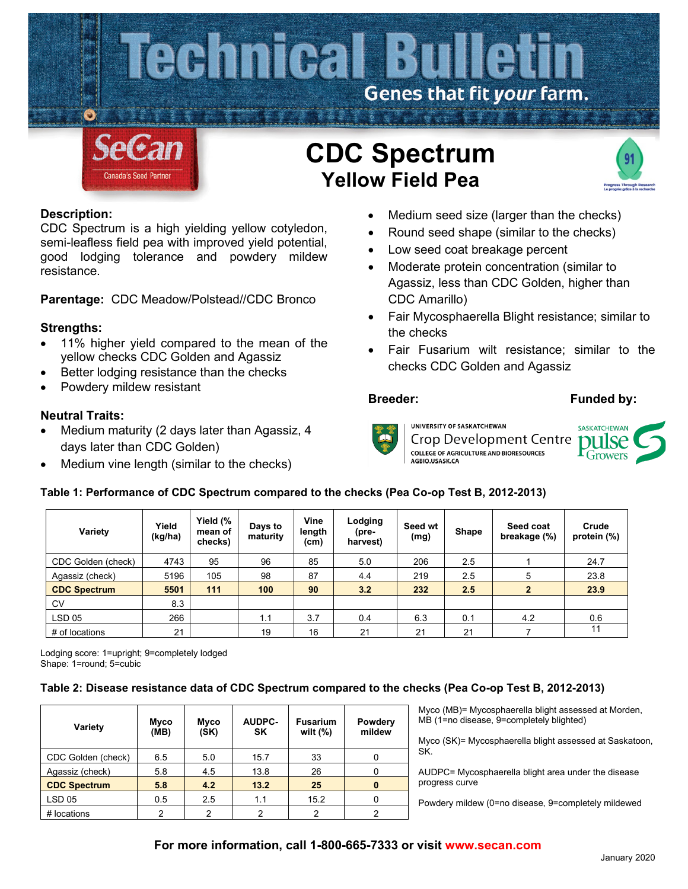

# **Description:**

CDC Spectrum is a high yielding yellow cotyledon, semi-leafless field pea with improved yield potential, good lodging tolerance and powdery mildew resistance.

**Parentage:** CDC Meadow/Polstead//CDC Bronco

## **Strengths:**

- 11% higher yield compared to the mean of the yellow checks CDC Golden and Agassiz
- Better lodging resistance than the checks
- Powdery mildew resistant

#### **Neutral Traits:**

- Medium maturity (2 days later than Agassiz, 4 days later than CDC Golden)
- Medium vine length (similar to the checks)

## Medium seed size (larger than the checks)

- Round seed shape (similar to the checks)
- Low seed coat breakage percent
- Moderate protein concentration (similar to Agassiz, less than CDC Golden, higher than CDC Amarillo)
- Fair Mycosphaerella Blight resistance; similar to the checks
- Fair Fusarium wilt resistance; similar to the checks CDC Golden and Agassiz

#### **Breeder: Funded by:**



UNIVERSITY OF SASKATCHEWAN Crop Development Centre **COLLEGE OF AGRICULTURE AND BIORESOURCES** AGBIO.USASK.CA



## **Table 1: Performance of CDC Spectrum compared to the checks (Pea Co-op Test B, 2012-2013)**

| Variety             | Yield<br>(kg/ha) | Yield (%<br>mean of<br>checks) | Days to<br>maturity | Vine<br>length<br>(cm) | Lodging<br>(pre-<br>harvest) | Seed wt<br>(mg) | Shape | Seed coat<br>breakage (%) | Crude<br>protein (%) |
|---------------------|------------------|--------------------------------|---------------------|------------------------|------------------------------|-----------------|-------|---------------------------|----------------------|
| CDC Golden (check)  | 4743             | 95                             | 96                  | 85                     | 5.0                          | 206             | 2.5   |                           | 24.7                 |
| Agassiz (check)     | 5196             | 105                            | 98                  | 87                     | 4.4                          | 219             | 2.5   | 5                         | 23.8                 |
| <b>CDC Spectrum</b> | 5501             | 111                            | 100                 | 90                     | 3.2                          | 232             | 2.5   |                           | 23.9                 |
| <b>CV</b>           | 8.3              |                                |                     |                        |                              |                 |       |                           |                      |
| <b>LSD 05</b>       | 266              |                                | 1.1                 | 3.7                    | 0.4                          | 6.3             | 0.1   | 4.2                       | 0.6                  |
| # of locations      | 21               |                                | 19                  | 16                     | 21                           | 21              | 21    |                           | 11                   |

Lodging score: 1=upright; 9=completely lodged Shape: 1=round; 5=cubic

#### **Table 2: Disease resistance data of CDC Spectrum compared to the checks (Pea Co-op Test B, 2012-2013)**

| Variety             | Myco<br>(MB) | Myco<br>(SK) | <b>AUDPC-</b><br>SK | <b>Fusarium</b><br>wilt $(\%)$ | Powdery<br>mildew |
|---------------------|--------------|--------------|---------------------|--------------------------------|-------------------|
| CDC Golden (check)  | 6.5          | 5.0          | 15.7                | 33                             |                   |
| Agassiz (check)     | 5.8          | 4.5          | 13.8                | 26                             |                   |
| <b>CDC Spectrum</b> | 5.8          | 4.2          | 13.2                | 25                             |                   |
| <b>LSD 05</b>       | 0.5          | 2.5          | 1.1                 | 15.2                           |                   |
| # locations         | 2            | 2            | 2                   | 2                              | っ                 |

Myco (MB)= Mycosphaerella blight assessed at Morden, MB (1=no disease, 9=completely blighted)

Myco (SK)= Mycosphaerella blight assessed at Saskatoon, SK.

AUDPC= Mycosphaerella blight area under the disease progress curve

Powdery mildew (0=no disease, 9=completely mildewed

## **For more information, call 1-800-665-7333 or visit www.secan.com**